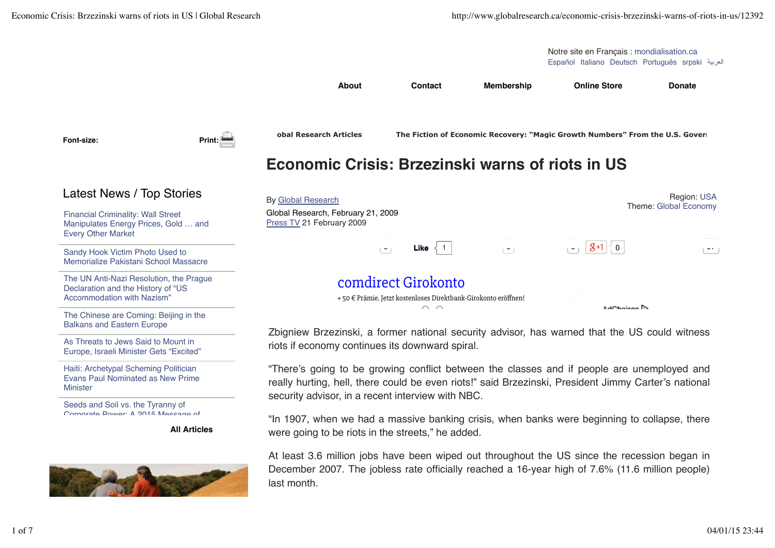Español Italiano Deutsch Português srpski Notre site en Français : mondialisation.ca

AdChoises N

**Economic Crisis: Brzezinski warns of riots in US**

 $\sim$   $\sim$ 

**About Contact Membership Online Store Donate**

**Font-size: Print:**

Latest News / Top Stories

Financial Criminality: Wall Street Manipulates Energy Prices, Gold … and Every Other Market

Sandy Hook Victim Photo Used to Memorialize Pakistani School Massacre

The UN Anti-Nazi Resolution, the Prague Declaration and the History of "US Accommodation with Nazism"

The Chinese are Coming: Beijing in the Balkans and Eastern Europe

As Threats to Jews Said to Mount in Europe, Israeli Minister Gets "Excited"

Haiti: Archetypal Scheming Politician Evans Paul Nominated as New Prime **Minister** 

Seeds and Soil vs. the Tyranny of Corporate Power: A 2015 Message of

**All Articles**



By Global Research Global Research, February 21, 2009 Press TV 21 February 2009 Region: USA Theme: Global Economy **Like** 1 0 0 0 0 17 comdirect Girokonto + 50 € Prämie. Jetzt kostenloses Direktbank-Girokonto eröffnen!

**lobal Research Articles The Fiction of Economic Recovery: "Magic Growth Numbers" From the U.S. Govern** 

Zbigniew Brzezinski, a former national security advisor, has warned that the US could witness riots if economy continues its downward spiral.

"There's going to be growing conflict between the classes and if people are unemployed and really hurting, hell, there could be even riots!" said Brzezinski, President Jimmy Carter's national security advisor, in a recent interview with NBC.

"In 1907, when we had a massive banking crisis, when banks were beginning to collapse, there were going to be riots in the streets," he added.

At least 3.6 million jobs have been wiped out throughout the US since the recession began in December 2007. The jobless rate officially reached a 16-year high of 7.6% (11.6 million people) last month.